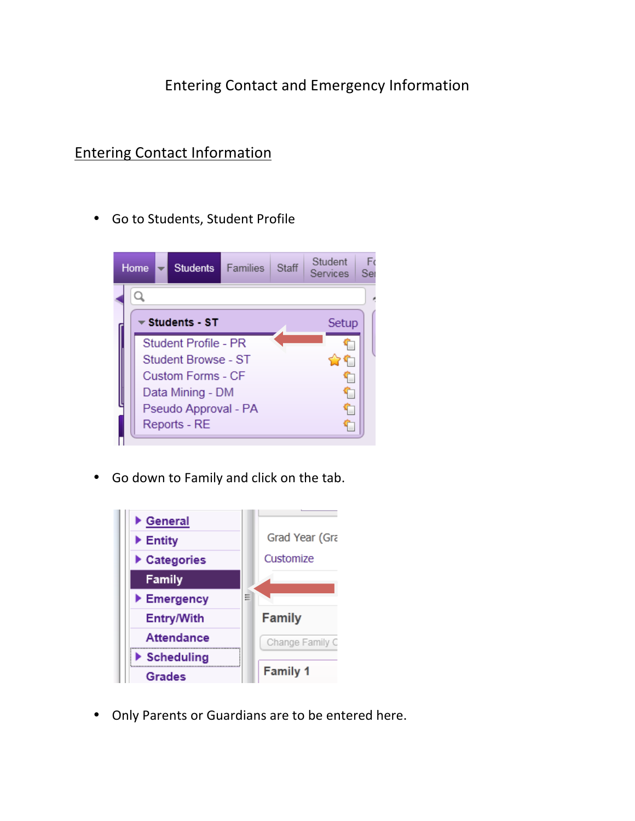## Entering Contact and Emergency Information

## **Entering Contact Information**

• Go to Students, Student Profile



• Go down to Family and click on the tab.



• Only Parents or Guardians are to be entered here.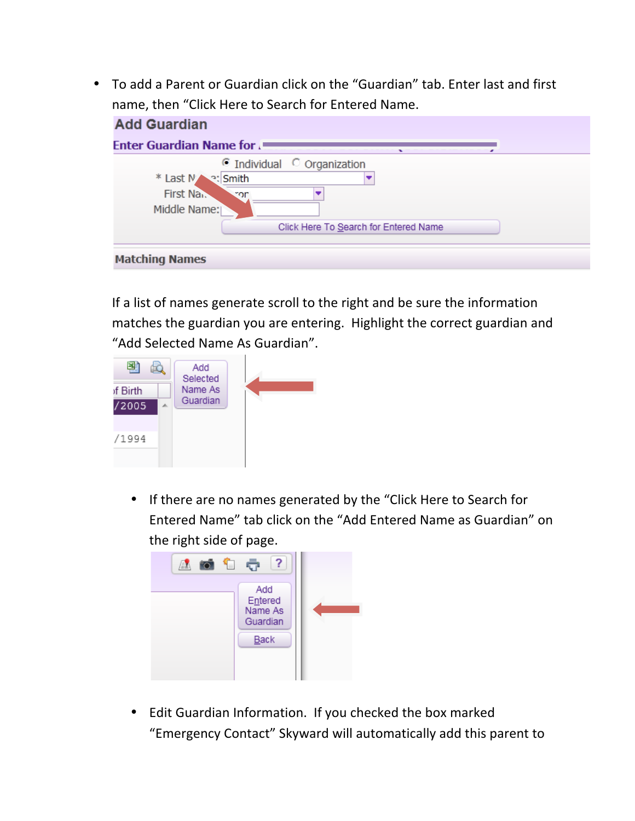• To add a Parent or Guardian click on the "Guardian" tab. Enter last and first name, then "Click Here to Search for Entered Name.

| <b>Add Guardian</b>                                                                                 |
|-----------------------------------------------------------------------------------------------------|
| <b>Enter Guardian Name for J</b>                                                                    |
| $\odot$ Individual $\odot$ Organization<br>* Last N<br>o: Smith<br>First Na.<br>ror<br>Middle Name: |
| Click Here To Search for Entered Name                                                               |
| <b>Matching Names</b>                                                                               |

If a list of names generate scroll to the right and be sure the information matches the guardian you are entering. Highlight the correct guardian and "Add Selected Name As Guardian".



• If there are no names generated by the "Click Here to Search for Entered Name" tab click on the "Add Entered Name as Guardian" on the right side of page.



• Edit Guardian Information. If you checked the box marked "Emergency Contact" Skyward will automatically add this parent to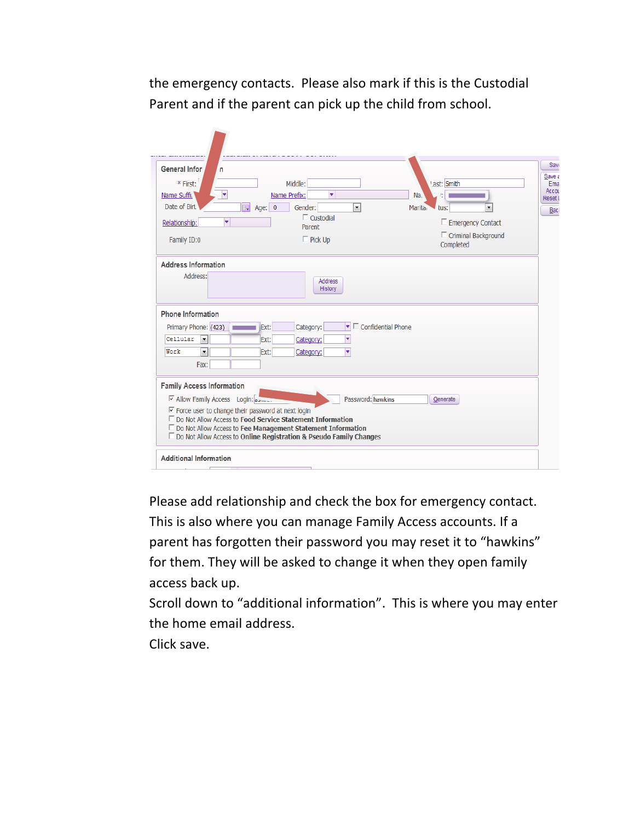the emergency contacts. Please also mark if this is the Custodial Parent and if the parent can pick up the child from school.

| <b>General Infor</b><br>n<br>* First:<br>÷<br>Name Suffi.<br>Date of Birt<br>靊<br>Relationship:<br>۷                                               | Middle:<br>٠<br>Name Prefix:<br>Gender:<br>Age: $0$<br>$\blacktriangledown$<br>$\Box$ Custodial<br>Parent                                                                                                      | '.ast: Smith<br>Na<br>Marita <sub>1</sub><br>tus:<br>$\Box$ Emergency Contact | Save a<br>Reset L |
|----------------------------------------------------------------------------------------------------------------------------------------------------|----------------------------------------------------------------------------------------------------------------------------------------------------------------------------------------------------------------|-------------------------------------------------------------------------------|-------------------|
| Family ID:0                                                                                                                                        | $\Box$ Pick Up                                                                                                                                                                                                 | $\Box$ Criminal Background<br>Completed                                       |                   |
| Address:<br><b>Phone Information</b>                                                                                                               | <b>Address</b><br>History                                                                                                                                                                                      |                                                                               |                   |
| Primary Phone: (423)                                                                                                                               | Category:<br>Ext:                                                                                                                                                                                              | $\blacktriangleright$ Confidential Phone                                      |                   |
| Cellular<br>$\overline{\phantom{a}}$                                                                                                               | Ext:<br>Category:<br>٠                                                                                                                                                                                         |                                                                               |                   |
| $\overline{\phantom{a}}$<br>Work<br>Fax:                                                                                                           | ٠<br>Ext:<br>Category:                                                                                                                                                                                         |                                                                               |                   |
| <b>Family Access Information</b><br>☑ Allow Family Access Login: a<br>$\overline{\triangledown}$ Force user to change their password at next login | □ Do Not Allow Access to Food Service Statement Information<br>$\Box$ Do Not Allow Access to Fee Management Statement Information<br>$\Box$ Do Not Allow Access to Online Registration & Pseudo Family Changes | Password: hawkins<br>Generate                                                 |                   |

Please add relationship and check the box for emergency contact.

This is also where you can manage Family Access accounts. If a parent has forgotten their password you may reset it to "hawkins" for them. They will be asked to change it when they open family access back up.

Scroll down to "additional information". This is where you may enter the home email address.

Click save.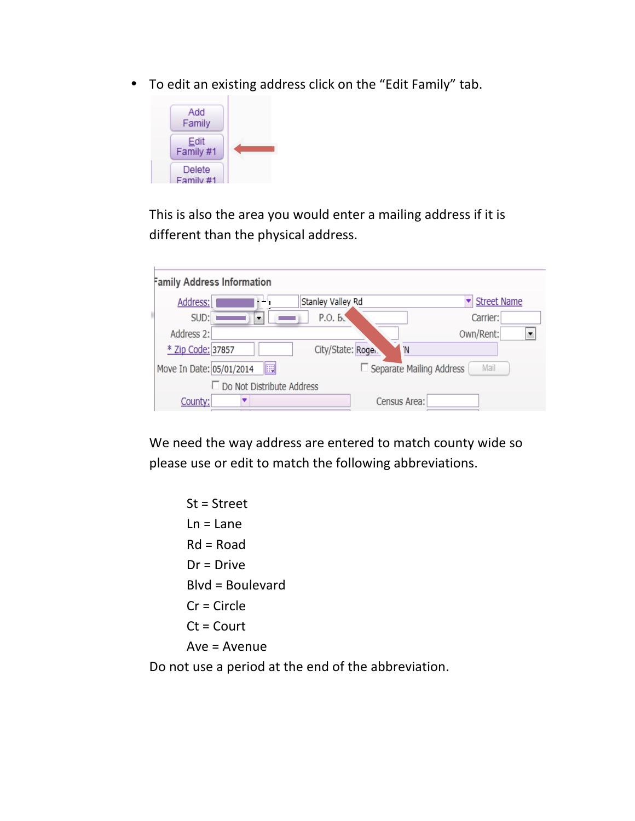• To edit an existing address click on the "Edit Family" tab.



This is also the area you would enter a mailing address if it is different than the physical address.

| <b>Family Address Information</b>                                   |
|---------------------------------------------------------------------|
| <b>Street Name</b><br>Stanley Valley Rd<br>Address:                 |
| SUD:<br>P.O. B.<br>Carrier:<br>▼                                    |
| Address 2:<br>Own/Rent:                                             |
| * Zip Code: 37857<br>City/State: Roge.<br>'N                        |
| 圜<br>Mail<br>□ Separate Mailing Address<br>Move In Date: 05/01/2014 |
| Do Not Distribute Address                                           |
| Census Area:<br>County:                                             |

We need the way address are entered to match county wide so please use or edit to match the following abbreviations.

 $St = Street$  $Ln = Lane$  $Rd = Road$  $Dr = Drive$  $B\vert v$ d = Boulevard  $Cr =$  Circle  $Ct =$  Court  $Ave = Avenue$ Do not use a period at the end of the abbreviation.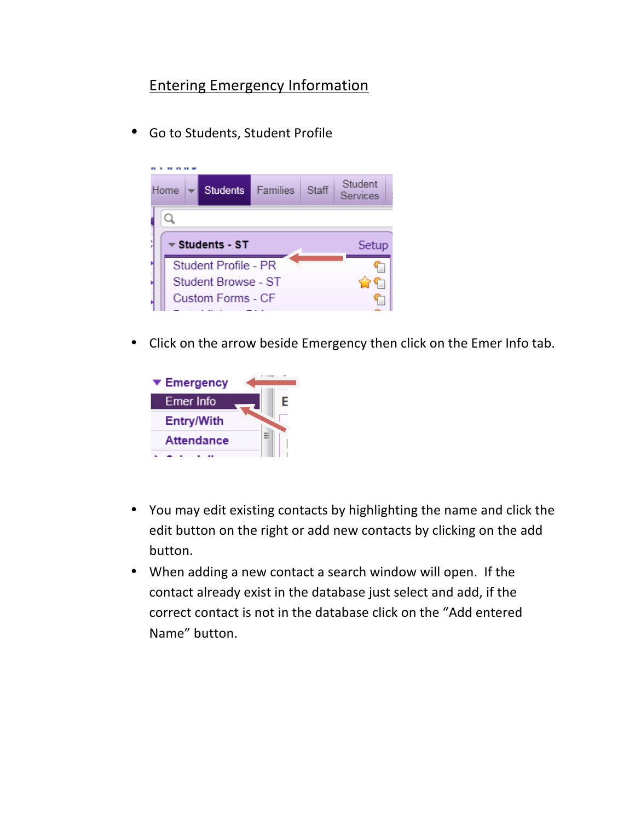## Entering Emergency Information

• Go to Students, Student Profile



• Click on the arrow beside Emergency then click on the Emer Info tab.



- You may edit existing contacts by highlighting the name and click the edit button on the right or add new contacts by clicking on the add button.
- When adding a new contact a search window will open. If the contact already exist in the database just select and add, if the correct contact is not in the database click on the "Add entered Name" button.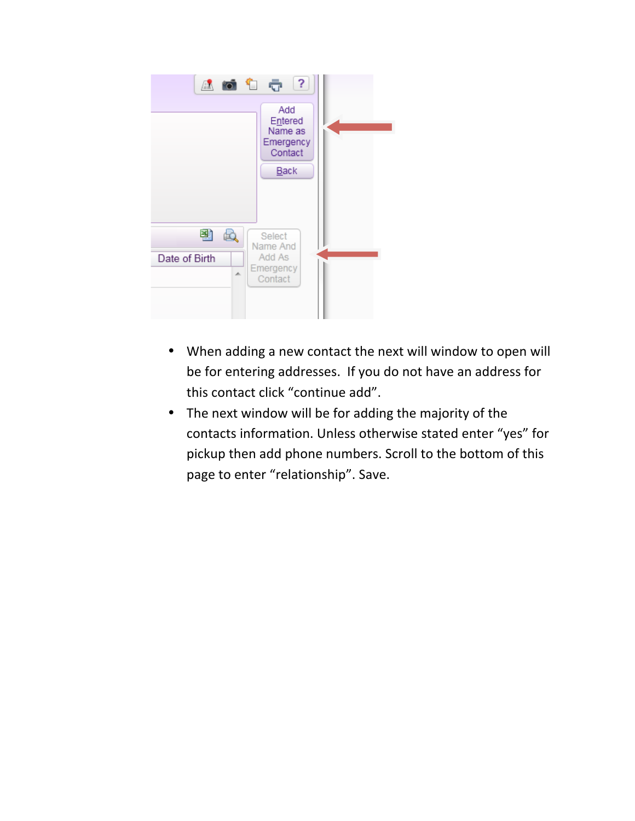

- When adding a new contact the next will window to open will be for entering addresses. If you do not have an address for this contact click "continue add".
- The next window will be for adding the majority of the contacts information. Unless otherwise stated enter "yes" for pickup then add phone numbers. Scroll to the bottom of this page to enter "relationship". Save.